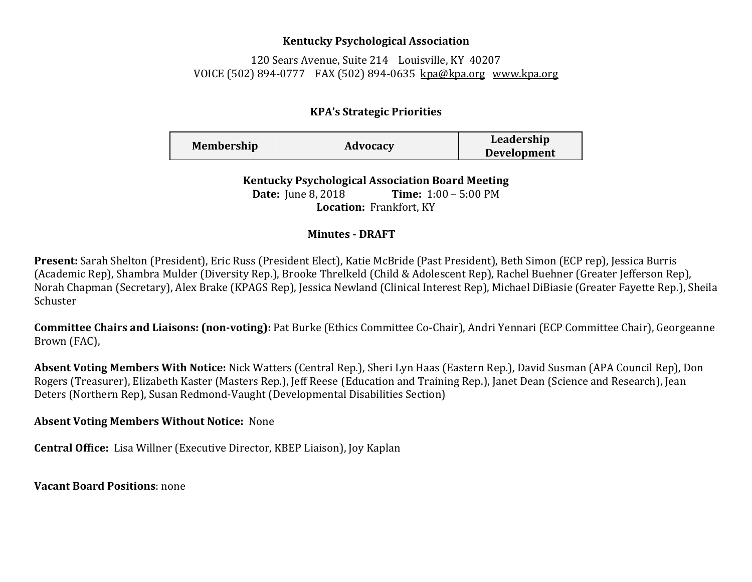## **Kentucky Psychological Association**

120 Sears Avenue, Suite 214 Louisville, KY 40207 VOICE (502) 894-0777 FAX (502) 894-0635 [kpa@kpa.org](mailto:kpa@kih.net) [www.kpa.org](http://www.kpa.org/)

## **KPA's Strategic Priorities**

| <b>Membership</b> | Advocacy | Leadership         |
|-------------------|----------|--------------------|
|                   |          | <b>Development</b> |

**Kentucky Psychological Association Board Meeting Date:** June 8, 2018 **Time:** 1:00 – 5:00 PM **Location:** Frankfort, KY

## **Minutes - DRAFT**

**Present:** Sarah Shelton (President), Eric Russ (President Elect), Katie McBride (Past President), Beth Simon (ECP rep), Jessica Burris (Academic Rep), Shambra Mulder (Diversity Rep.), Brooke Threlkeld (Child & Adolescent Rep), Rachel Buehner (Greater Jefferson Rep), Norah Chapman (Secretary), Alex Brake (KPAGS Rep), Jessica Newland (Clinical Interest Rep), Michael DiBiasie (Greater Fayette Rep.), Sheila Schuster

**Committee Chairs and Liaisons: (non-voting):** Pat Burke (Ethics Committee Co-Chair), Andri Yennari (ECP Committee Chair), Georgeanne Brown (FAC),

**Absent Voting Members With Notice:** Nick Watters (Central Rep.), Sheri Lyn Haas (Eastern Rep.), David Susman (APA Council Rep), Don Rogers (Treasurer), Elizabeth Kaster (Masters Rep.), Jeff Reese (Education and Training Rep.), Janet Dean (Science and Research), Jean Deters (Northern Rep), Susan Redmond-Vaught (Developmental Disabilities Section)

**Absent Voting Members Without Notice:** None

**Central Office:** Lisa Willner (Executive Director, KBEP Liaison), Joy Kaplan

**Vacant Board Positions**: none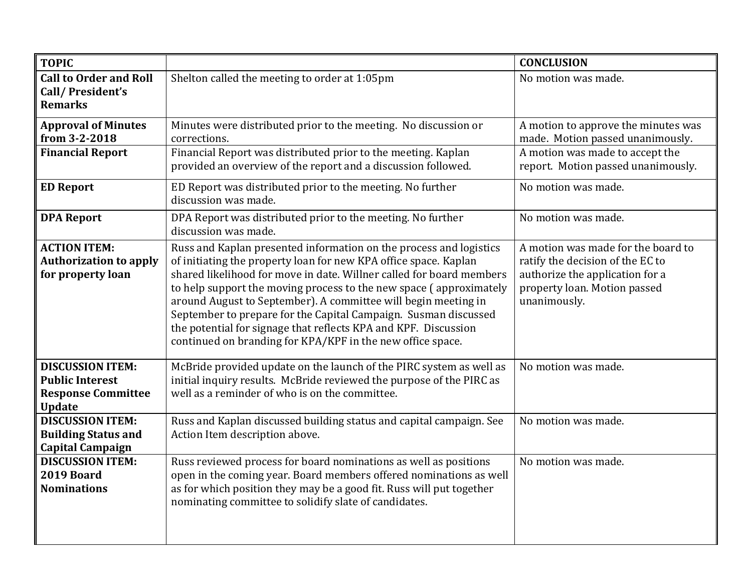| <b>TOPIC</b>                                                                                    |                                                                                                                                                                                                                                                                                                                                                                                                                                                                                                                                                            | <b>CONCLUSION</b>                                                                                                                                         |
|-------------------------------------------------------------------------------------------------|------------------------------------------------------------------------------------------------------------------------------------------------------------------------------------------------------------------------------------------------------------------------------------------------------------------------------------------------------------------------------------------------------------------------------------------------------------------------------------------------------------------------------------------------------------|-----------------------------------------------------------------------------------------------------------------------------------------------------------|
| <b>Call to Order and Roll</b><br>Call/President's<br><b>Remarks</b>                             | Shelton called the meeting to order at 1:05pm                                                                                                                                                                                                                                                                                                                                                                                                                                                                                                              | No motion was made.                                                                                                                                       |
| <b>Approval of Minutes</b><br>from 3-2-2018                                                     | Minutes were distributed prior to the meeting. No discussion or<br>corrections.                                                                                                                                                                                                                                                                                                                                                                                                                                                                            | A motion to approve the minutes was<br>made. Motion passed unanimously.                                                                                   |
| <b>Financial Report</b>                                                                         | Financial Report was distributed prior to the meeting. Kaplan<br>provided an overview of the report and a discussion followed.                                                                                                                                                                                                                                                                                                                                                                                                                             | A motion was made to accept the<br>report. Motion passed unanimously.                                                                                     |
| <b>ED Report</b>                                                                                | ED Report was distributed prior to the meeting. No further<br>discussion was made.                                                                                                                                                                                                                                                                                                                                                                                                                                                                         | No motion was made.                                                                                                                                       |
| <b>DPA Report</b>                                                                               | DPA Report was distributed prior to the meeting. No further<br>discussion was made.                                                                                                                                                                                                                                                                                                                                                                                                                                                                        | No motion was made.                                                                                                                                       |
| <b>ACTION ITEM:</b><br><b>Authorization to apply</b><br>for property loan                       | Russ and Kaplan presented information on the process and logistics<br>of initiating the property loan for new KPA office space. Kaplan<br>shared likelihood for move in date. Willner called for board members<br>to help support the moving process to the new space (approximately<br>around August to September). A committee will begin meeting in<br>September to prepare for the Capital Campaign. Susman discussed<br>the potential for signage that reflects KPA and KPF. Discussion<br>continued on branding for KPA/KPF in the new office space. | A motion was made for the board to<br>ratify the decision of the EC to<br>authorize the application for a<br>property loan. Motion passed<br>unanimously. |
| <b>DISCUSSION ITEM:</b><br><b>Public Interest</b><br><b>Response Committee</b><br><b>Update</b> | McBride provided update on the launch of the PIRC system as well as<br>initial inquiry results. McBride reviewed the purpose of the PIRC as<br>well as a reminder of who is on the committee.                                                                                                                                                                                                                                                                                                                                                              | No motion was made.                                                                                                                                       |
| <b>DISCUSSION ITEM:</b><br><b>Building Status and</b><br><b>Capital Campaign</b>                | Russ and Kaplan discussed building status and capital campaign. See<br>Action Item description above.                                                                                                                                                                                                                                                                                                                                                                                                                                                      | No motion was made.                                                                                                                                       |
| <b>DISCUSSION ITEM:</b><br>2019 Board<br><b>Nominations</b>                                     | Russ reviewed process for board nominations as well as positions<br>open in the coming year. Board members offered nominations as well<br>as for which position they may be a good fit. Russ will put together<br>nominating committee to solidify slate of candidates.                                                                                                                                                                                                                                                                                    | No motion was made.                                                                                                                                       |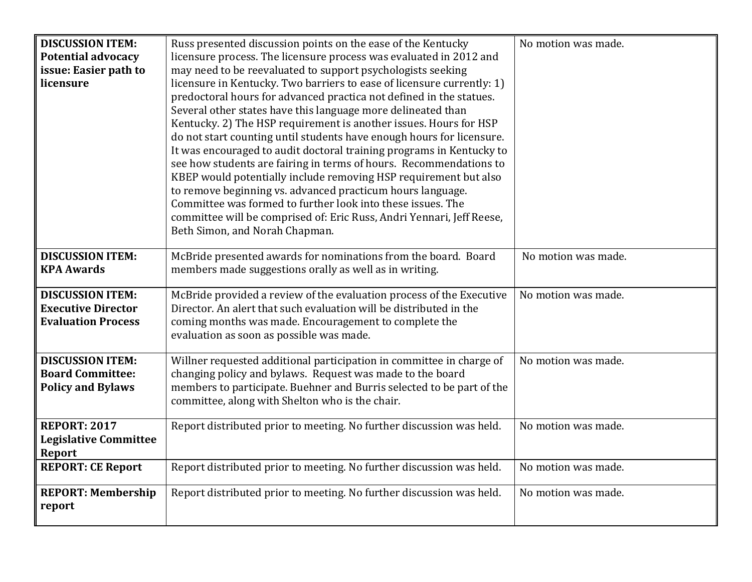| <b>DISCUSSION ITEM:</b>      | Russ presented discussion points on the ease of the Kentucky           | No motion was made. |
|------------------------------|------------------------------------------------------------------------|---------------------|
| <b>Potential advocacy</b>    | licensure process. The licensure process was evaluated in 2012 and     |                     |
| issue: Easier path to        | may need to be reevaluated to support psychologists seeking            |                     |
| licensure                    | licensure in Kentucky. Two barriers to ease of licensure currently: 1) |                     |
|                              | predoctoral hours for advanced practica not defined in the statues.    |                     |
|                              | Several other states have this language more delineated than           |                     |
|                              | Kentucky. 2) The HSP requirement is another issues. Hours for HSP      |                     |
|                              | do not start counting until students have enough hours for licensure.  |                     |
|                              | It was encouraged to audit doctoral training programs in Kentucky to   |                     |
|                              | see how students are fairing in terms of hours. Recommendations to     |                     |
|                              | KBEP would potentially include removing HSP requirement but also       |                     |
|                              | to remove beginning vs. advanced practicum hours language.             |                     |
|                              | Committee was formed to further look into these issues. The            |                     |
|                              | committee will be comprised of: Eric Russ, Andri Yennari, Jeff Reese,  |                     |
|                              | Beth Simon, and Norah Chapman.                                         |                     |
|                              |                                                                        |                     |
| <b>DISCUSSION ITEM:</b>      | McBride presented awards for nominations from the board. Board         | No motion was made. |
| <b>KPA Awards</b>            | members made suggestions orally as well as in writing.                 |                     |
| <b>DISCUSSION ITEM:</b>      | McBride provided a review of the evaluation process of the Executive   | No motion was made. |
| <b>Executive Director</b>    | Director. An alert that such evaluation will be distributed in the     |                     |
| <b>Evaluation Process</b>    | coming months was made. Encouragement to complete the                  |                     |
|                              | evaluation as soon as possible was made.                               |                     |
|                              |                                                                        |                     |
| <b>DISCUSSION ITEM:</b>      | Willner requested additional participation in committee in charge of   | No motion was made. |
| <b>Board Committee:</b>      | changing policy and bylaws. Request was made to the board              |                     |
| <b>Policy and Bylaws</b>     | members to participate. Buehner and Burris selected to be part of the  |                     |
|                              | committee, along with Shelton who is the chair.                        |                     |
| <b>REPORT: 2017</b>          | Report distributed prior to meeting. No further discussion was held.   | No motion was made. |
| <b>Legislative Committee</b> |                                                                        |                     |
| <b>Report</b>                |                                                                        |                     |
| <b>REPORT: CE Report</b>     | Report distributed prior to meeting. No further discussion was held.   | No motion was made. |
|                              |                                                                        |                     |
| <b>REPORT: Membership</b>    | Report distributed prior to meeting. No further discussion was held.   | No motion was made. |
| report                       |                                                                        |                     |
|                              |                                                                        |                     |